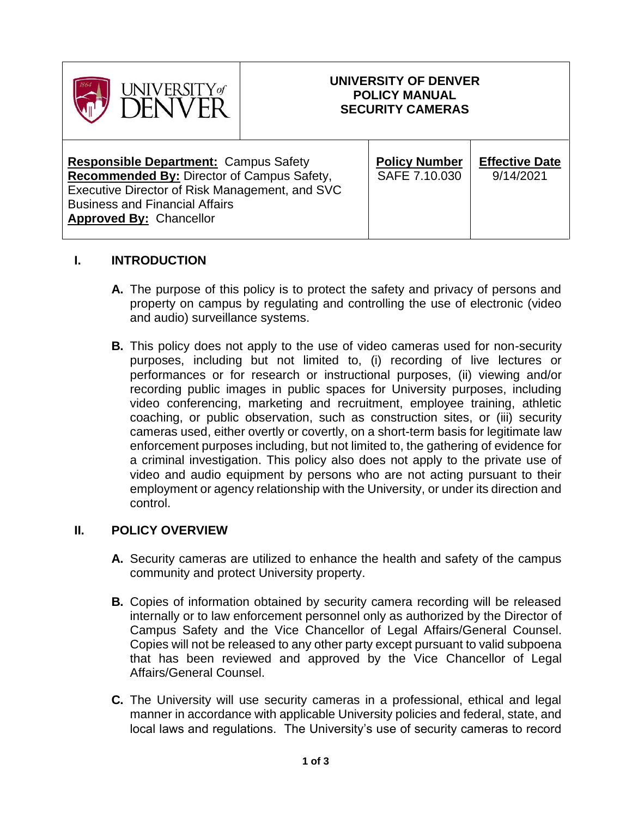| <b>JIVERSITY</b> of                                                                                                                                                                                                     | UNIVERSITY OF DENVER<br><b>POLICY MANUAL</b><br><b>SECURITY CAMERAS</b> |                                       |                                    |
|-------------------------------------------------------------------------------------------------------------------------------------------------------------------------------------------------------------------------|-------------------------------------------------------------------------|---------------------------------------|------------------------------------|
| <b>Responsible Department:</b> Campus Safety<br>Recommended By: Director of Campus Safety,<br>Executive Director of Risk Management, and SVC<br><b>Business and Financial Affairs</b><br><b>Approved By: Chancellor</b> |                                                                         | <b>Policy Number</b><br>SAFE 7.10.030 | <b>Effective Date</b><br>9/14/2021 |

# **I. INTRODUCTION**

- **A.** The purpose of this policy is to protect the safety and privacy of persons and property on campus by regulating and controlling the use of electronic (video and audio) surveillance systems.
- **B.** This policy does not apply to the use of video cameras used for non-security purposes, including but not limited to, (i) recording of live lectures or performances or for research or instructional purposes, (ii) viewing and/or recording public images in public spaces for University purposes, including video conferencing, marketing and recruitment, employee training, athletic coaching, or public observation, such as construction sites, or (iii) security cameras used, either overtly or covertly, on a short-term basis for legitimate law enforcement purposes including, but not limited to, the gathering of evidence for a criminal investigation. This policy also does not apply to the private use of video and audio equipment by persons who are not acting pursuant to their employment or agency relationship with the University, or under its direction and control.

### **II. POLICY OVERVIEW**

- **A.** Security cameras are utilized to enhance the health and safety of the campus community and protect University property.
- **B.** Copies of information obtained by security camera recording will be released internally or to law enforcement personnel only as authorized by the Director of Campus Safety and the Vice Chancellor of Legal Affairs/General Counsel. Copies will not be released to any other party except pursuant to valid subpoena that has been reviewed and approved by the Vice Chancellor of Legal Affairs/General Counsel.
- **C.** The University will use security cameras in a professional, ethical and legal manner in accordance with applicable University policies and federal, state, and local laws and regulations. The University's use of security cameras to record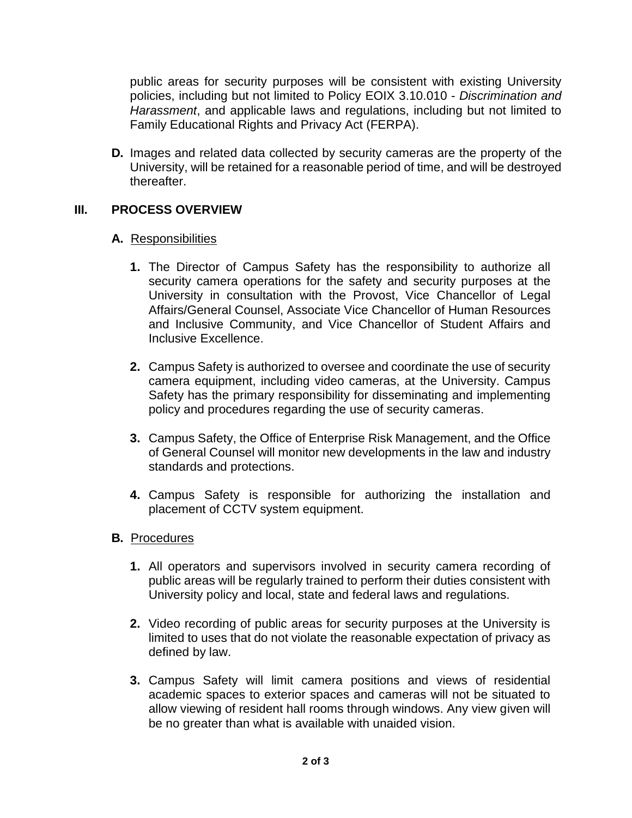public areas for security purposes will be consistent with existing University policies, including but not limited to Policy EOIX 3.10.010 - *Discrimination and Harassment*, and applicable laws and regulations, including but not limited to Family Educational Rights and Privacy Act (FERPA).

**D.** Images and related data collected by security cameras are the property of the University, will be retained for a reasonable period of time, and will be destroyed thereafter.

# **III. PROCESS OVERVIEW**

### **A.** Responsibilities

- **1.** The Director of Campus Safety has the responsibility to authorize all security camera operations for the safety and security purposes at the University in consultation with the Provost, Vice Chancellor of Legal Affairs/General Counsel, Associate Vice Chancellor of Human Resources and Inclusive Community, and Vice Chancellor of Student Affairs and Inclusive Excellence.
- **2.** Campus Safety is authorized to oversee and coordinate the use of security camera equipment, including video cameras, at the University. Campus Safety has the primary responsibility for disseminating and implementing policy and procedures regarding the use of security cameras.
- **3.** Campus Safety, the Office of Enterprise Risk Management, and the Office of General Counsel will monitor new developments in the law and industry standards and protections.
- **4.** Campus Safety is responsible for authorizing the installation and placement of CCTV system equipment.

### **B.** Procedures

- **1.** All operators and supervisors involved in security camera recording of public areas will be regularly trained to perform their duties consistent with University policy and local, state and federal laws and regulations.
- **2.** Video recording of public areas for security purposes at the University is limited to uses that do not violate the reasonable expectation of privacy as defined by law.
- **3.** Campus Safety will limit camera positions and views of residential academic spaces to exterior spaces and cameras will not be situated to allow viewing of resident hall rooms through windows. Any view given will be no greater than what is available with unaided vision.